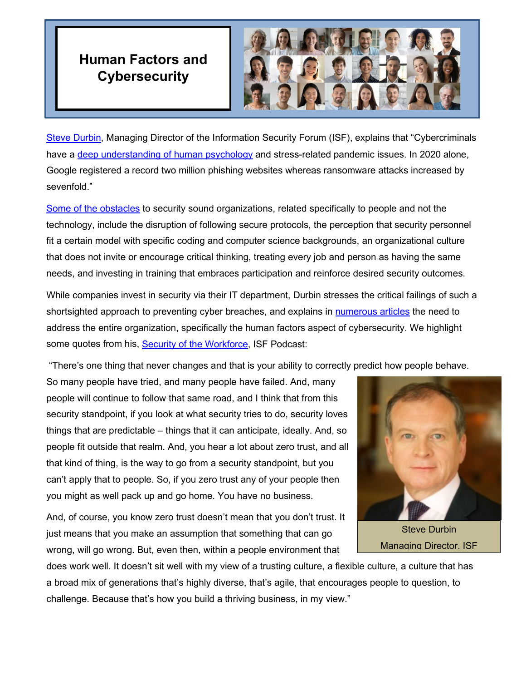## **Human Factors and Cybersecurity**



[Steve Durbin,](https://www.linkedin.com/in/stevedurbin/?originalSubdomain=uk) Managing Director of the Information Security Forum (ISF), explains that "Cybercriminals have a [deep understanding of human psychology](https://www.securitymagazine.com/articles/95434-top-5-cybersecurity-challenges-in-the-hybrid-office) and stress-related pandemic issues. In 2020 alone, Google registered a record two million phishing websites whereas ransomware attacks increased by sevenfold."

[Some of the obstacles](https://www.darkreading.com/the-human-factor-5-reasons-why-cybersecurity-is-a-people-problem/a/d-id/1336494) to security sound organizations, related specifically to people and not the technology, include the disruption of following secure protocols, the perception that security personnel fit a certain model with specific coding and computer science backgrounds, an organizational culture that does not invite or encourage critical thinking, treating every job and person as having the same needs, and investing in training that embraces participation and reinforce desired security outcomes.

While companies invest in security via their IT department, Durbin stresses the critical failings of such a shortsighted approach to preventing cyber breaches, and explains in [numerous articles](https://www.forbes.com/sites/forbesbusinesscouncil/2020/11/25/eight-steps-to-building-a-human-centered-security-culture/?sh=a2da3437b1e7) the need to address the entire organization, specifically the human factors aspect of cybersecurity. We highlight some quotes from his, [Security of the Workforce,](https://www.youtube.com/watch?v=3CNM9EMX6iw) ISF Podcast:

"There's one thing that never changes and that is your ability to correctly predict how people behave.

So many people have tried, and many people have failed. And, many people will continue to follow that same road, and I think that from this security standpoint, if you look at what security tries to do, security loves things that are predictable – things that it can anticipate, ideally. And, so people fit outside that realm. And, you hear a lot about zero trust, and all that kind of thing, is the way to go from a security standpoint, but you can't apply that to people. So, if you zero trust any of your people then you might as well pack up and go home. You have no business.

And, of course, you know zero trust doesn't mean that you don't trust. It just means that you make an assumption that something that can go wrong, will go wrong. But, even then, within a people environment that



Steve Durbin Managing Director, ISF

does work well. It doesn't sit well with my view of a trusting culture, a flexible culture, a culture that has a broad mix of generations that's highly diverse, that's agile, that encourages people to question, to challenge. Because that's how you build a thriving business, in my view."